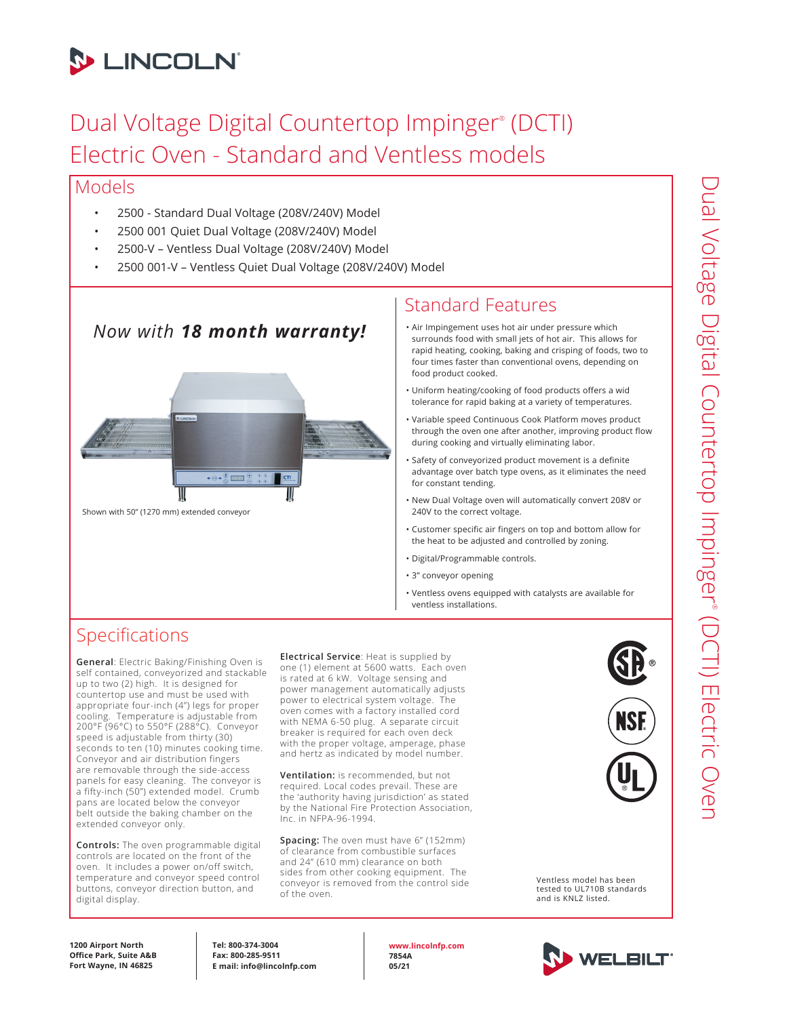

# Dual Voltage Digital Countertop Impinger® (DCTI) Electric Oven - Standard and Ventless models

#### Models

- 2500 Standard Dual Voltage (208V/240V) Model
- 2500 001 Quiet Dual Voltage (208V/240V) Model
- 2500-V Ventless Dual Voltage (208V/240V) Model
- 2500 001-V Ventless Quiet Dual Voltage (208V/240V) Model

## *Now with 18 month warranty!*



Shown with 50" (1270 mm) extended conveyor

### Standard Features

- Air Impingement uses hot air under pressure which surrounds food with small jets of hot air. This allows for rapid heating, cooking, baking and crisping of foods, two to four times faster than conventional ovens, depending on food product cooked.
- Uniform heating/cooking of food products offers a wid tolerance for rapid baking at a variety of temperatures.
- Variable speed Continuous Cook Platform moves product through the oven one after another, improving product flow during cooking and virtually eliminating labor.
- Safety of conveyorized product movement is a definite advantage over batch type ovens, as it eliminates the need for constant tending.
- New Dual Voltage oven will automatically convert 208V or 240V to the correct voltage.
- Customer specific air fingers on top and bottom allow for the heat to be adjusted and controlled by zoning.
- Digital/Programmable controls.
- 3" conveyor opening
- Ventless ovens equipped with catalysts are available for ventless installations.

### Specifications

**General**: Electric Baking/Finishing Oven is self contained, conveyorized and stackable up to two (2) high. It is designed for countertop use and must be used with appropriate four-inch (4") legs for proper cooling. Temperature is adjustable from 200°F (96°C) to 550°F (288°C). Conveyor speed is adjustable from thirty (30) seconds to ten (10) minutes cooking time. Conveyor and air distribution fingers are removable through the side-access panels for easy cleaning. The conveyor is a fifty-inch (50") extended model. Crumb pans are located below the conveyor belt outside the baking chamber on the extended conveyor only.

**Controls:** The oven programmable digital controls are located on the front of the oven. It includes a power on/off switch, temperature and conveyor speed control buttons, conveyor direction button, and digital display.

**Electrical Service**: Heat is supplied by one (1) element at 5600 watts. Each oven is rated at 6 kW. Voltage sensing and power management automatically adjusts power to electrical system voltage. The oven comes with a factory installed cord with NEMA 6-50 plug. A separate circuit breaker is required for each oven deck with the proper voltage, amperage, phase and hertz as indicated by model number.

**Ventilation:** is recommended, but not required. Local codes prevail. These are the 'authority having jurisdiction' as stated by the National Fire Protection Association, Inc. in NFPA-96-1994.

**Spacing:** The oven must have 6" (152mm) of clearance from combustible surfaces and 24" (610 mm) clearance on both sides from other cooking equipment. The conveyor is removed from the control side of the oven.



Ventless model has been tested to UL710B standards and is KNLZ listed.



**1200 Airport North Office Park, Suite A&B Fort Wayne, IN 46825**

**Tel: 800-374-3004 Fax: 800-285-9511 E mail: info@lincolnfp.com** **www.lincolnfp.com 7854A 05/21**